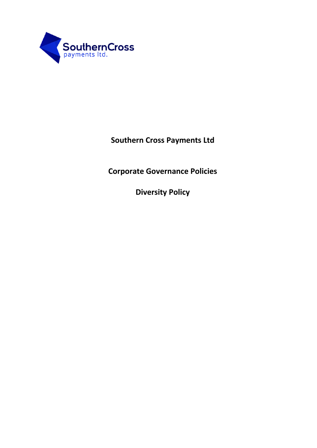

**Southern Cross Payments Ltd**

**Corporate Governance Policies**

**Diversity Policy**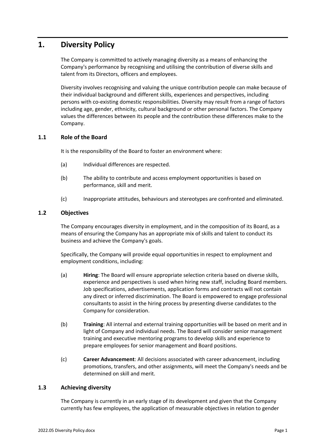# **1. Diversity Policy**

The Company is committed to actively managing diversity as a means of enhancing the Company's performance by recognising and utilising the contribution of diverse skills and talent from its Directors, officers and employees.

Diversity involves recognising and valuing the unique contribution people can make because of their individual background and different skills, experiences and perspectives, including persons with co-existing domestic responsibilities. Diversity may result from a range of factors including age, gender, ethnicity, cultural background or other personal factors. The Company values the differences between its people and the contribution these differences make to the Company.

# **1.1 Role of the Board**

It is the responsibility of the Board to foster an environment where:

- (a) Individual differences are respected.
- (b) The ability to contribute and access employment opportunities is based on performance, skill and merit.
- (c) Inappropriate attitudes, behaviours and stereotypes are confronted and eliminated.

## **1.2 Objectives**

The Company encourages diversity in employment, and in the composition of its Board, as a means of ensuring the Company has an appropriate mix of skills and talent to conduct its business and achieve the Company's goals.

Specifically, the Company will provide equal opportunities in respect to employment and employment conditions, including:

- (a) **Hiring**: The Board will ensure appropriate selection criteria based on diverse skills, experience and perspectives is used when hiring new staff, including Board members. Job specifications, advertisements, application forms and contracts will not contain any direct or inferred discrimination. The Board is empowered to engage professional consultants to assist in the hiring process by presenting diverse candidates to the Company for consideration.
- (b) **Training**: All internal and external training opportunities will be based on merit and in light of Company and individual needs. The Board will consider senior management training and executive mentoring programs to develop skills and experience to prepare employees for senior management and Board positions.
- (c) **Career Advancement**: All decisions associated with career advancement, including promotions, transfers, and other assignments, will meet the Company's needs and be determined on skill and merit.

## **1.3 Achieving diversity**

The Company is currently in an early stage of its development and given that the Company currently has few employees, the application of measurable objectives in relation to gender